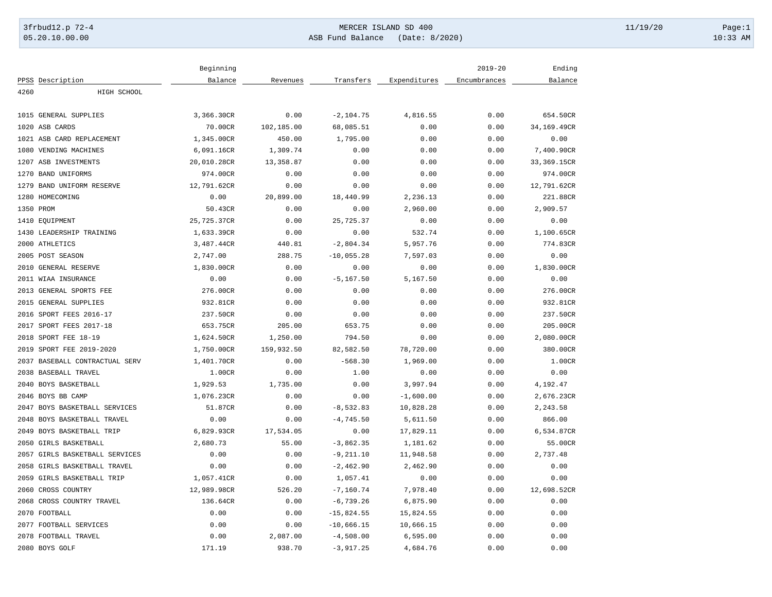## 3frbud12.p 72-4 Page:1 05.20.10.00.00 ASB Fund Balance (Date: 8/2020) 10:33 AM

|           |                                | Beginning   |            |              |              | $2019 - 20$  | Ending      |
|-----------|--------------------------------|-------------|------------|--------------|--------------|--------------|-------------|
|           | PPSS Description               | Balance     | Revenues   | Transfers    | Expenditures | Encumbrances | Balance     |
| 4260      | HIGH SCHOOL                    |             |            |              |              |              |             |
|           |                                |             |            |              |              |              |             |
|           | 1015 GENERAL SUPPLIES          | 3,366.30CR  | 0.00       | $-2, 104.75$ | 4,816.55     | 0.00         | 654.50CR    |
|           | 1020 ASB CARDS                 | 70.00CR     | 102,185.00 | 68,085.51    | 0.00         | 0.00         | 34,169.49CR |
|           | 1021 ASB CARD REPLACEMENT      | 1,345.00CR  | 450.00     | 1,795.00     | 0.00         | 0.00         | 0.00        |
|           | 1080 VENDING MACHINES          | 6,091.16CR  | 1,309.74   | 0.00         | 0.00         | 0.00         | 7,400.90CR  |
|           | 1207 ASB INVESTMENTS           | 20,010.28CR | 13,358.87  | 0.00         | 0.00         | 0.00         | 33,369.15CR |
|           | 1270 BAND UNIFORMS             | 974.00CR    | 0.00       | 0.00         | 0.00         | 0.00         | 974.00CR    |
|           | 1279 BAND UNIFORM RESERVE      | 12,791.62CR | 0.00       | 0.00         | 0.00         | 0.00         | 12,791.62CR |
|           | 1280 HOMECOMING                | 0.00        | 20,899.00  | 18,440.99    | 2,236.13     | 0.00         | 221.88CR    |
| 1350 PROM |                                | 50.43CR     | 0.00       | 0.00         | 2,960.00     | 0.00         | 2,909.57    |
|           | 1410 EQUIPMENT                 | 25,725.37CR | 0.00       | 25,725.37    | 0.00         | 0.00         | 0.00        |
|           | 1430 LEADERSHIP TRAINING       | 1,633.39CR  | 0.00       | 0.00         | 532.74       | 0.00         | 1,100.65CR  |
|           | 2000 ATHLETICS                 | 3,487.44CR  | 440.81     | $-2,804.34$  | 5,957.76     | 0.00         | 774.83CR    |
|           | 2005 POST SEASON               | 2,747.00    | 288.75     | $-10,055.28$ | 7,597.03     | 0.00         | 0.00        |
|           | 2010 GENERAL RESERVE           | 1,830.00CR  | 0.00       | 0.00         | 0.00         | 0.00         | 1,830.00CR  |
|           | 2011 WIAA INSURANCE            | 0.00        | 0.00       | $-5, 167.50$ | 5,167.50     | 0.00         | 0.00        |
|           | 2013 GENERAL SPORTS FEE        | 276.00CR    | 0.00       | 0.00         | 0.00         | 0.00         | 276.00CR    |
|           | 2015 GENERAL SUPPLIES          | 932.81CR    | 0.00       | 0.00         | 0.00         | 0.00         | 932.81CR    |
|           | 2016 SPORT FEES 2016-17        | 237.50CR    | 0.00       | 0.00         | 0.00         | 0.00         | 237.50CR    |
|           | 2017 SPORT FEES 2017-18        | 653.75CR    | 205.00     | 653.75       | 0.00         | 0.00         | 205.00CR    |
|           | 2018 SPORT FEE 18-19           | 1,624.50CR  | 1,250.00   | 794.50       | 0.00         | 0.00         | 2,080.00CR  |
|           | 2019 SPORT FEE 2019-2020       | 1,750.00CR  | 159,932.50 | 82,582.50    | 78,720.00    | 0.00         | 380.00CR    |
|           | 2037 BASEBALL CONTRACTUAL SERV | 1,401.70CR  | 0.00       | $-568.30$    | 1,969.00     | 0.00         | 1.00CR      |
|           | 2038 BASEBALL TRAVEL           | 1.00CR      | 0.00       | 1.00         | 0.00         | 0.00         | 0.00        |
|           | 2040 BOYS BASKETBALL           | 1,929.53    | 1,735.00   | 0.00         | 3,997.94     | 0.00         | 4,192.47    |
|           | 2046 BOYS BB CAMP              | 1,076.23CR  | 0.00       | 0.00         | $-1,600.00$  | 0.00         | 2,676.23CR  |
|           | 2047 BOYS BASKETBALL SERVICES  | 51.87CR     | 0.00       | $-8,532.83$  | 10,828.28    | 0.00         | 2,243.58    |
|           | 2048 BOYS BASKETBALL TRAVEL    | 0.00        | 0.00       | $-4,745.50$  | 5,611.50     | 0.00         | 866.00      |
|           | 2049 BOYS BASKETBALL TRIP      | 6,829.93CR  | 17,534.05  | 0.00         | 17,829.11    | 0.00         | 6,534.87CR  |
|           | 2050 GIRLS BASKETBALL          | 2,680.73    | 55.00      | $-3,862.35$  | 1,181.62     | 0.00         | 55.00CR     |
|           | 2057 GIRLS BASKETBALL SERVICES | 0.00        | 0.00       | $-9, 211.10$ | 11,948.58    | 0.00         | 2,737.48    |
|           | 2058 GIRLS BASKETBALL TRAVEL   | 0.00        | 0.00       | $-2, 462.90$ | 2,462.90     | 0.00         | 0.00        |
|           |                                | 1,057.41CR  | 0.00       | 1,057.41     | 0.00         | 0.00         | 0.00        |
|           | 2059 GIRLS BASKETBALL TRIP     |             |            |              |              |              |             |
|           | 2060 CROSS COUNTRY             | 12,989.98CR | 526.20     | $-7, 160.74$ | 7,978.40     | 0.00         | 12,698.52CR |
|           | 2068 CROSS COUNTRY TRAVEL      | 136.64CR    | 0.00       | $-6,739.26$  | 6,875.90     | 0.00         | 0.00        |
|           | 2070 FOOTBALL                  | 0.00        | 0.00       | $-15,824.55$ | 15,824.55    | 0.00         | 0.00        |
|           | 2077 FOOTBALL SERVICES         | 0.00        | 0.00       | $-10,666.15$ | 10,666.15    | 0.00         | 0.00        |
|           | 2078 FOOTBALL TRAVEL           | 0.00        | 2,087.00   | $-4,508.00$  | 6, 595.00    | 0.00         | 0.00        |
|           | 2080 BOYS GOLF                 | 171.19      | 938.70     | $-3,917.25$  | 4,684.76     | 0.00         | 0.00        |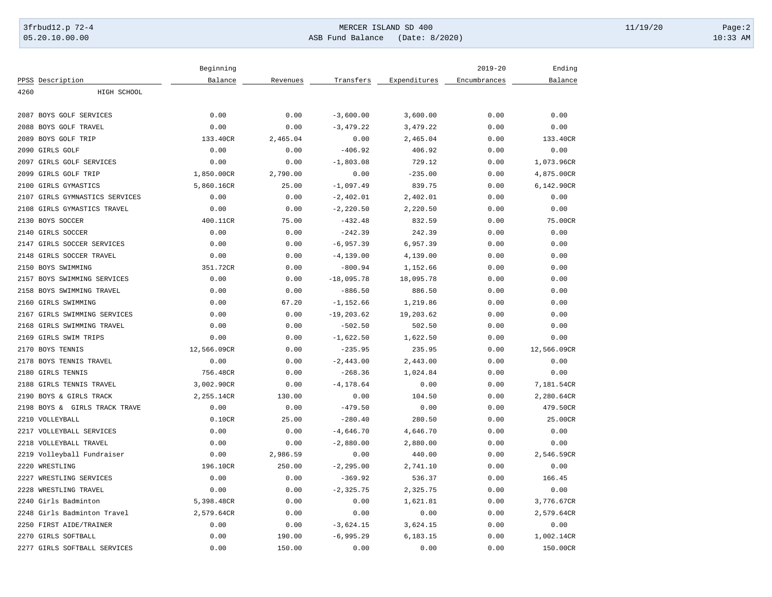# 3frbud12.p 72-4 Page:2

05.20.10.00.00 ASB Fund Balance (Date: 8/2020) 10:33 AM

|      |                                | Beginning   |          |               |              | $2019 - 20$  | Ending      |
|------|--------------------------------|-------------|----------|---------------|--------------|--------------|-------------|
|      | PPSS Description               | Balance     | Revenues | Transfers     | Expenditures | Encumbrances | Balance     |
| 4260 | HIGH SCHOOL                    |             |          |               |              |              |             |
|      | 2087 BOYS GOLF SERVICES        | 0.00        | 0.00     | $-3,600.00$   | 3,600.00     | 0.00         | 0.00        |
|      | 2088 BOYS GOLF TRAVEL          | 0.00        | 0.00     | $-3,479.22$   | 3,479.22     | 0.00         | 0.00        |
|      | 2089 BOYS GOLF TRIP            | 133.40CR    | 2,465.04 | 0.00          | 2,465.04     | 0.00         | 133.40CR    |
|      | 2090 GIRLS GOLF                | 0.00        | 0.00     | $-406.92$     | 406.92       | 0.00         | 0.00        |
|      | 2097 GIRLS GOLF SERVICES       | 0.00        | 0.00     | $-1,803.08$   | 729.12       | 0.00         | 1,073.96CR  |
|      | 2099 GIRLS GOLF TRIP           | 1,850.00CR  | 2,790.00 | 0.00          | $-235.00$    | 0.00         | 4,875.00CR  |
|      | 2100 GIRLS GYMASTICS           | 5,860.16CR  | 25.00    | $-1,097.49$   | 839.75       | 0.00         | 6,142.90CR  |
|      | 2107 GIRLS GYMNASTICS SERVICES | 0.00        | 0.00     | $-2,402.01$   | 2,402.01     | 0.00         | 0.00        |
|      | 2108 GIRLS GYMASTICS TRAVEL    | 0.00        | 0.00     | $-2, 220.50$  | 2,220.50     | 0.00         | 0.00        |
|      | 2130 BOYS SOCCER               | 400.11CR    | 75.00    | $-432.48$     | 832.59       | 0.00         | 75.00CR     |
|      | 2140 GIRLS SOCCER              | 0.00        | 0.00     | $-242.39$     | 242.39       | 0.00         | 0.00        |
|      | 2147 GIRLS SOCCER SERVICES     | 0.00        | 0.00     | $-6, 957.39$  | 6,957.39     | 0.00         | 0.00        |
|      | 2148 GIRLS SOCCER TRAVEL       | 0.00        | 0.00     | $-4, 139.00$  | 4,139.00     | 0.00         | 0.00        |
|      | 2150 BOYS SWIMMING             | 351.72CR    | 0.00     | $-800.94$     | 1,152.66     | 0.00         | 0.00        |
|      | 2157 BOYS SWIMMING SERVICES    | 0.00        | 0.00     | $-18,095.78$  | 18,095.78    | 0.00         | 0.00        |
|      | 2158 BOYS SWIMMING TRAVEL      | 0.00        | 0.00     | $-886.50$     | 886.50       | 0.00         | 0.00        |
|      | 2160 GIRLS SWIMMING            | 0.00        | 67.20    | $-1, 152.66$  | 1,219.86     | 0.00         | 0.00        |
|      | 2167 GIRLS SWIMMING SERVICES   | 0.00        | 0.00     | $-19, 203.62$ | 19,203.62    | 0.00         | 0.00        |
|      | 2168 GIRLS SWIMMING TRAVEL     | 0.00        | 0.00     | $-502.50$     | 502.50       | 0.00         | 0.00        |
|      | 2169 GIRLS SWIM TRIPS          | 0.00        | 0.00     | $-1,622.50$   | 1,622.50     | 0.00         | 0.00        |
|      | 2170 BOYS TENNIS               | 12,566.09CR | 0.00     | $-235.95$     | 235.95       | 0.00         | 12,566.09CR |
|      | 2178 BOYS TENNIS TRAVEL        | 0.00        | 0.00     | $-2, 443.00$  | 2,443.00     | 0.00         | 0.00        |
|      | 2180 GIRLS TENNIS              | 756.48CR    | 0.00     | $-268.36$     | 1,024.84     | 0.00         | 0.00        |
|      | 2188 GIRLS TENNIS TRAVEL       | 3,002.90CR  | 0.00     | $-4, 178.64$  | 0.00         | 0.00         | 7,181.54CR  |
|      | 2190 BOYS & GIRLS TRACK        | 2,255.14CR  | 130.00   | 0.00          | 104.50       | 0.00         | 2,280.64CR  |
|      | 2198 BOYS & GIRLS TRACK TRAVE  | 0.00        | 0.00     | $-479.50$     | 0.00         | 0.00         | 479.50CR    |
|      | 2210 VOLLEYBALL                | 0.10CR      | 25.00    | $-280.40$     | 280.50       | 0.00         | 25.00CR     |
|      | 2217 VOLLEYBALL SERVICES       | 0.00        | 0.00     | $-4,646.70$   | 4,646.70     | 0.00         | 0.00        |
|      | 2218 VOLLEYBALL TRAVEL         | 0.00        | 0.00     | $-2,880.00$   | 2,880.00     | 0.00         | 0.00        |
|      | 2219 Volleyball Fundraiser     | 0.00        | 2,986.59 | 0.00          | 440.00       | 0.00         | 2,546.59CR  |
|      | 2220 WRESTLING                 | 196.10CR    | 250.00   | $-2, 295.00$  | 2,741.10     | 0.00         | 0.00        |
|      | 2227 WRESTLING SERVICES        | 0.00        | 0.00     | $-369.92$     | 536.37       | 0.00         | 166.45      |
|      | 2228 WRESTLING TRAVEL          | 0.00        | 0.00     | $-2, 325.75$  | 2,325.75     | 0.00         | 0.00        |
|      | 2240 Girls Badminton           | 5,398.48CR  | 0.00     | 0.00          | 1,621.81     | 0.00         | 3,776.67CR  |
|      | 2248 Girls Badminton Travel    | 2,579.64CR  | 0.00     | 0.00          | 0.00         | 0.00         | 2,579.64CR  |
|      | 2250 FIRST AIDE/TRAINER        | 0.00        | 0.00     | $-3,624.15$   | 3,624.15     | 0.00         | 0.00        |
|      | 2270 GIRLS SOFTBALL            | 0.00        | 190.00   | $-6, 995.29$  | 6,183.15     | 0.00         | 1,002.14CR  |
|      | 2277 GIRLS SOFTBALL SERVICES   | 0.00        | 150.00   | 0.00          | 0.00         | 0.00         | 150.00CR    |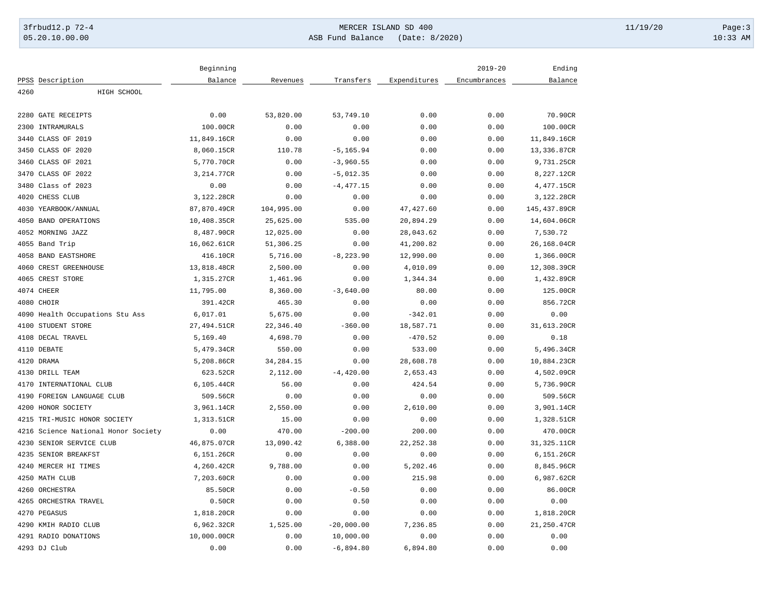## 3frbud12.p 72-4 Page:3 05.20.10.00.00 ASB Fund Balance (Date: 8/2020) 10:33 AM

|            |                                     | Beginning   |             |              |              | $2019 - 20$  | Ending       |
|------------|-------------------------------------|-------------|-------------|--------------|--------------|--------------|--------------|
|            | PPSS Description                    | Balance     | Revenues    | Transfers    | Expenditures | Encumbrances | Balance      |
| 4260       | HIGH SCHOOL                         |             |             |              |              |              |              |
|            |                                     |             |             |              |              |              |              |
|            | 2280 GATE RECEIPTS                  | 0.00        | 53,820.00   | 53,749.10    | 0.00         | 0.00         | 70.90CR      |
|            | 2300 INTRAMURALS                    | 100.00CR    | 0.00        | 0.00         | 0.00         | 0.00         | 100.00CR     |
| 3440       | CLASS OF 2019                       | 11,849.16CR | 0.00        | 0.00         | 0.00         | 0.00         | 11,849.16CR  |
|            | 3450 CLASS OF 2020                  | 8,060.15CR  | 110.78      | $-5, 165.94$ | 0.00         | 0.00         | 13,336.87CR  |
|            | 3460 CLASS OF 2021                  | 5,770.70CR  | 0.00        | $-3,960.55$  | 0.00         | 0.00         | 9,731.25CR   |
|            | 3470 CLASS OF 2022                  | 3,214.77CR  | 0.00        | $-5,012.35$  | 0.00         | 0.00         | 8,227.12CR   |
| 3480       | Class of 2023                       | 0.00        | 0.00        | $-4, 477.15$ | 0.00         | 0.00         | 4,477.15CR   |
|            | 4020 CHESS CLUB                     | 3,122.28CR  | 0.00        | 0.00         | 0.00         | 0.00         | 3,122.28CR   |
|            | 4030 YEARBOOK/ANNUAL                | 87,870.49CR | 104,995.00  | 0.00         | 47, 427.60   | 0.00         | 145,437.89CR |
|            | 4050 BAND OPERATIONS                | 10,408.35CR | 25,625.00   | 535.00       | 20,894.29    | 0.00         | 14,604.06CR  |
|            | 4052 MORNING JAZZ                   | 8,487.90CR  | 12,025.00   | 0.00         | 28,043.62    | 0.00         | 7,530.72     |
|            | 4055 Band Trip                      | 16,062.61CR | 51,306.25   | 0.00         | 41,200.82    | 0.00         | 26,168.04CR  |
|            | 4058 BAND EASTSHORE                 | 416.10CR    | 5,716.00    | $-8, 223.90$ | 12,990.00    | 0.00         | 1,366.00CR   |
|            | 4060 CREST GREENHOUSE               | 13,818.48CR | 2,500.00    | 0.00         | 4,010.09     | 0.00         | 12,308.39CR  |
|            | 4065 CREST STORE                    | 1,315.27CR  | 1,461.96    | 0.00         | 1,344.34     | 0.00         | 1,432.89CR   |
| 4074 CHEER |                                     | 11,795.00   | 8,360.00    | $-3,640.00$  | 80.00        | 0.00         | 125.00CR     |
| 4080 CHOIR |                                     | 391.42CR    | 465.30      | 0.00         | 0.00         | 0.00         | 856.72CR     |
|            | 4090 Health Occupations Stu Ass     | 6,017.01    | 5,675.00    | 0.00         | $-342.01$    | 0.00         | 0.00         |
|            | 4100 STUDENT STORE                  | 27,494.51CR | 22,346.40   | $-360.00$    | 18,587.71    | 0.00         | 31,613.20CR  |
|            | 4108 DECAL TRAVEL                   | 5,169.40    | 4,698.70    | 0.00         | $-470.52$    | 0.00         | 0.18         |
|            | 4110 DEBATE                         | 5,479.34CR  | 550.00      | 0.00         | 533.00       | 0.00         | 5,496.34CR   |
| 4120 DRAMA |                                     | 5,208.86CR  | 34, 284. 15 | 0.00         | 28,608.78    | 0.00         | 10,884.23CR  |
|            | 4130 DRILL TEAM                     | 623.52CR    | 2,112.00    | $-4, 420.00$ | 2,653.43     | 0.00         | 4,502.09CR   |
|            | 4170 INTERNATIONAL CLUB             | 6,105.44CR  | 56.00       | 0.00         | 424.54       | 0.00         | 5,736.90CR   |
| 4190       | FOREIGN LANGUAGE CLUB               | 509.56CR    | 0.00        | 0.00         | 0.00         | 0.00         | 509.56CR     |
|            | 4200 HONOR SOCIETY                  | 3,961.14CR  | 2,550.00    | 0.00         | 2,610.00     | 0.00         | 3,901.14CR   |
| 4215       | TRI-MUSIC HONOR SOCIETY             | 1,313.51CR  | 15.00       | 0.00         | 0.00         | 0.00         | 1,328.51CR   |
|            | 4216 Science National Honor Society | 0.00        | 470.00      | $-200.00$    | 200.00       | 0.00         | 470.00CR     |
|            | 4230 SENIOR SERVICE CLUB            | 46,875.07CR | 13,090.42   | 6,388.00     | 22, 252.38   | 0.00         | 31,325.11CR  |
|            | 4235 SENIOR BREAKFST                | 6,151.26CR  | 0.00        | 0.00         | 0.00         | 0.00         | 6,151.26CR   |
|            | 4240 MERCER HI TIMES                | 4,260.42CR  | 9,788.00    | 0.00         | 5,202.46     | 0.00         | 8,845.96CR   |
|            | 4250 MATH CLUB                      | 7,203.60CR  | 0.00        | 0.00         | 215.98       | 0.00         | 6,987.62CR   |
|            | 4260 ORCHESTRA                      | 85.50CR     | 0.00        | $-0.50$      | 0.00         | 0.00         | 86.00CR      |
|            | 4265 ORCHESTRA TRAVEL               | 0.50CR      | 0.00        | 0.50         | 0.00         | 0.00         | 0.00         |
|            | 4270 PEGASUS                        | 1,818.20CR  | 0.00        | 0.00         | 0.00         | 0.00         | 1,818.20CR   |
|            | 4290 KMIH RADIO CLUB                | 6,962.32CR  | 1,525.00    | $-20,000.00$ | 7,236.85     | 0.00         | 21,250.47CR  |
|            | 4291 RADIO DONATIONS                | 10,000.00CR | 0.00        | 10,000.00    | 0.00         | 0.00         | 0.00         |
|            | 4293 DJ Club                        |             |             |              |              |              |              |
|            |                                     | 0.00        | 0.00        | $-6,894.80$  | 6,894.80     | 0.00         | 0.00         |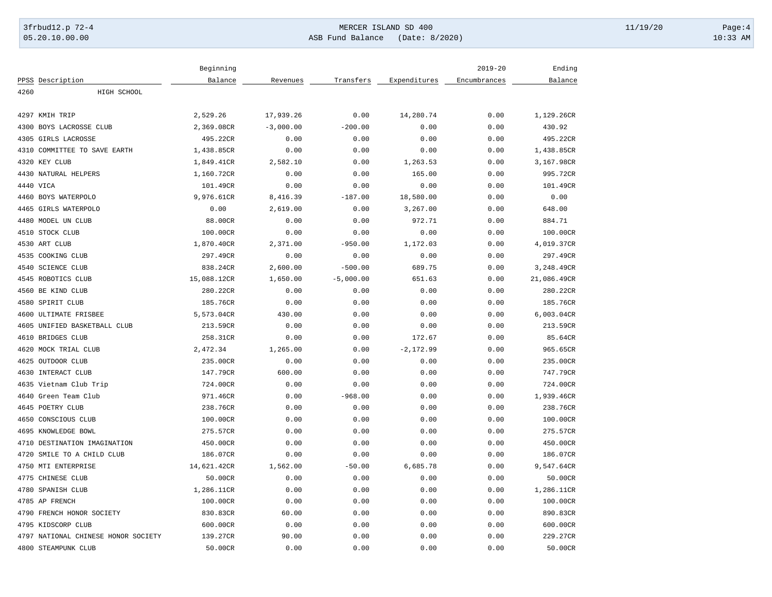## 3frbud12.p 72-4 Page:4 NERCER ISLAND SD 400 05.20.10.00.00 ASB Fund Balance (Date: 8/2020) 10:33 AM

|                                     | Beginning   |             |             |              | $2019 - 20$  | Ending      |
|-------------------------------------|-------------|-------------|-------------|--------------|--------------|-------------|
| PPSS Description                    | Balance     | Revenues    | Transfers   | Expenditures | Encumbrances | Balance     |
| 4260<br>HIGH SCHOOL                 |             |             |             |              |              |             |
|                                     |             |             |             |              |              |             |
| 4297 KMIH TRIP                      | 2,529.26    | 17,939.26   | 0.00        | 14,280.74    | 0.00         | 1,129.26CR  |
| 4300 BOYS LACROSSE CLUB             | 2,369.08CR  | $-3,000.00$ | $-200.00$   | 0.00         | 0.00         | 430.92      |
| 4305 GIRLS LACROSSE                 | 495.22CR    | 0.00        | 0.00        | 0.00         | 0.00         | 495.22CR    |
| 4310 COMMITTEE TO SAVE EARTH        | 1,438.85CR  | 0.00        | 0.00        | 0.00         | 0.00         | 1,438.85CR  |
| 4320 KEY CLUB                       | 1,849.41CR  | 2,582.10    | 0.00        | 1,263.53     | 0.00         | 3,167.98CR  |
| 4430 NATURAL HELPERS                | 1,160.72CR  | 0.00        | 0.00        | 165.00       | 0.00         | 995.72CR    |
| 4440 VICA                           | 101.49CR    | 0.00        | 0.00        | 0.00         | 0.00         | 101.49CR    |
| 4460 BOYS WATERPOLO                 | 9,976.61CR  | 8,416.39    | $-187.00$   | 18,580.00    | 0.00         | 0.00        |
| 4465 GIRLS WATERPOLO                | 0.00        | 2,619.00    | 0.00        | 3,267.00     | 0.00         | 648.00      |
| 4480 MODEL UN CLUB                  | 88.00CR     | 0.00        | 0.00        | 972.71       | 0.00         | 884.71      |
| 4510 STOCK CLUB                     | 100.00CR    | 0.00        | 0.00        | 0.00         | 0.00         | 100.00CR    |
| 4530 ART CLUB                       | 1,870.40CR  | 2,371.00    | $-950.00$   | 1,172.03     | 0.00         | 4,019.37CR  |
| 4535 COOKING CLUB                   | 297.49CR    | 0.00        | 0.00        | 0.00         | 0.00         | 297.49CR    |
| 4540 SCIENCE CLUB                   | 838.24CR    | 2,600.00    | $-500.00$   | 689.75       | 0.00         | 3,248.49CR  |
| 4545 ROBOTICS CLUB                  | 15,088.12CR | 1,650.00    | $-5,000.00$ | 651.63       | 0.00         | 21,086.49CR |
| 4560 BE KIND CLUB                   | 280.22CR    | 0.00        | 0.00        | 0.00         | 0.00         | 280.22CR    |
| 4580 SPIRIT CLUB                    | 185.76CR    | 0.00        | 0.00        | 0.00         | 0.00         | 185.76CR    |
| 4600 ULTIMATE FRISBEE               | 5,573.04CR  | 430.00      | 0.00        | 0.00         | 0.00         | 6,003.04CR  |
| 4605 UNIFIED BASKETBALL CLUB        | 213.59CR    | 0.00        | 0.00        | 0.00         | 0.00         | 213.59CR    |
| 4610 BRIDGES CLUB                   | 258.31CR    | 0.00        | 0.00        | 172.67       | 0.00         | 85.64CR     |
| 4620 MOCK TRIAL CLUB                | 2,472.34    | 1,265.00    | 0.00        | $-2,172.99$  | 0.00         | 965.65CR    |
| 4625 OUTDOOR CLUB                   | 235.00CR    | 0.00        | 0.00        | 0.00         | 0.00         | 235.00CR    |
| 4630 INTERACT CLUB                  | 147.79CR    | 600.00      | 0.00        | 0.00         | 0.00         | 747.79CR    |
| 4635 Vietnam Club Trip              | 724.00CR    | 0.00        | 0.00        | 0.00         | 0.00         | 724.00CR    |
| 4640 Green Team Club                | 971.46CR    | 0.00        | $-968.00$   | 0.00         | 0.00         | 1,939.46CR  |
| 4645 POETRY CLUB                    | 238.76CR    | 0.00        | 0.00        | 0.00         | 0.00         | 238.76CR    |
| 4650 CONSCIOUS CLUB                 | 100.00CR    | 0.00        | 0.00        | 0.00         | 0.00         | 100.00CR    |
| 4695 KNOWLEDGE BOWL                 | 275.57CR    | 0.00        | 0.00        | 0.00         | 0.00         | 275.57CR    |
| 4710 DESTINATION IMAGINATION        | 450.00CR    | 0.00        | 0.00        | 0.00         | 0.00         | 450.00CR    |
| 4720<br>SMILE TO A CHILD CLUB       | 186.07CR    | 0.00        | 0.00        | 0.00         | 0.00         | 186.07CR    |
| 4750 MTI ENTERPRISE                 | 14,621.42CR | 1,562.00    | $-50.00$    | 6,685.78     | 0.00         | 9,547.64CR  |
| 4775 CHINESE CLUB                   | 50.00CR     | 0.00        | 0.00        | 0.00         | 0.00         | 50.00CR     |
| 4780 SPANISH CLUB                   | 1,286.11CR  | 0.00        | 0.00        | 0.00         | 0.00         | 1,286.11CR  |
| 4785 AP FRENCH                      | 100.00CR    | 0.00        | 0.00        | 0.00         | 0.00         | 100.00CR    |
| 4790 FRENCH HONOR SOCIETY           | 830.83CR    | 60.00       | 0.00        | 0.00         | 0.00         | 890.83CR    |
| 4795 KIDSCORP CLUB                  | 600.00CR    | 0.00        | 0.00        | 0.00         | 0.00         | 600.00CR    |
| 4797 NATIONAL CHINESE HONOR SOCIETY | 139.27CR    | 90.00       | 0.00        | 0.00         | 0.00         | 229.27CR    |
| 4800 STEAMPUNK CLUB                 | 50.00CR     | 0.00        | 0.00        | 0.00         | 0.00         | 50.00CR     |
|                                     |             |             |             |              |              |             |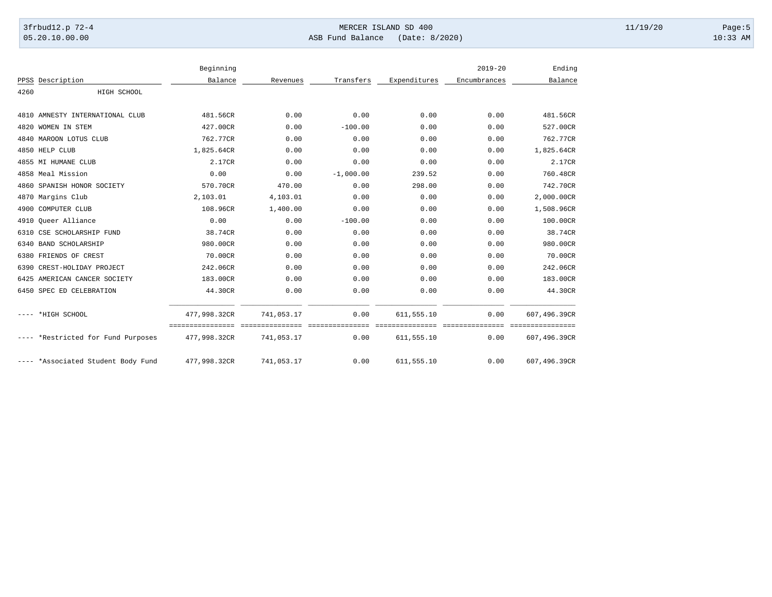## 3frbud12.p 72-4 Page:5 05.20.10.00.00 ASB Fund Balance (Date: 8/2020) 10:33 AM

|      |                                    | Beginning    |            |             |                                                  | $2019 - 20$  | Ending                                          |
|------|------------------------------------|--------------|------------|-------------|--------------------------------------------------|--------------|-------------------------------------------------|
| PPSS | Description                        | Balance      | Revenues   | Transfers   | Expenditures                                     | Encumbrances | Balance                                         |
| 4260 | HIGH SCHOOL                        |              |            |             |                                                  |              |                                                 |
|      | 4810 AMNESTY INTERNATIONAL CLUB    | 481.56CR     | 0.00       | 0.00        | 0.00                                             | 0.00         | 481.56CR                                        |
|      | 4820 WOMEN IN STEM                 | 427.00CR     | 0.00       | $-100.00$   | 0.00                                             | 0.00         | 527.00CR                                        |
|      | 4840 MAROON LOTUS CLUB             | 762.77CR     | 0.00       | 0.00        | 0.00                                             | 0.00         | 762.77CR                                        |
|      | 4850 HELP CLUB                     | 1,825.64CR   | 0.00       | 0.00        | 0.00                                             | 0.00         | 1,825.64CR                                      |
|      | 4855 MI HUMANE CLUB                | 2.17CR       | 0.00       | 0.00        | 0.00                                             | 0.00         | 2.17CR                                          |
|      | 4858 Meal Mission                  | 0.00         | 0.00       | $-1,000.00$ | 239.52                                           | 0.00         | 760.48CR                                        |
|      | 4860 SPANISH HONOR SOCIETY         | 570.70CR     | 470.00     | 0.00        | 298.00                                           | 0.00         | 742.70CR                                        |
|      | 4870 Margins Club                  | 2,103.01     | 4,103.01   | 0.00        | 0.00                                             | 0.00         | 2,000.00CR                                      |
|      | 4900 COMPUTER CLUB                 | 108.96CR     | 1,400.00   | 0.00        | 0.00                                             | 0.00         | 1,508.96CR                                      |
|      | 4910 Oueer Alliance                | 0.00         | 0.00       | $-100.00$   | 0.00                                             | 0.00         | 100.00CR                                        |
|      | 6310 CSE SCHOLARSHIP FUND          | 38.74CR      | 0.00       | 0.00        | 0.00                                             | 0.00         | 38.74CR                                         |
|      | 6340 BAND SCHOLARSHIP              | 980.00CR     | 0.00       | 0.00        | 0.00                                             | 0.00         | 980.00CR                                        |
|      | 6380 FRIENDS OF CREST              | 70.00CR      | 0.00       | 0.00        | 0.00                                             | 0.00         | 70.00CR                                         |
|      | 6390 CREST-HOLIDAY PROJECT         | 242.06CR     | 0.00       | 0.00        | 0.00                                             | 0.00         | 242.06CR                                        |
|      | 6425 AMERICAN CANCER SOCIETY       | 183.00CR     | 0.00       | 0.00        | 0.00                                             | 0.00         | 183.00CR                                        |
|      | 6450 SPEC ED CELEBRATION           | 44.30CR      | 0.00       | 0.00        | 0.00                                             | 0.00         | 44.30CR                                         |
|      | ---- *HIGH SCHOOL                  | 477,998.32CR | 741,053.17 | 0.00        | 611,555.10                                       | 0.00         | 607,496.39CR                                    |
|      | ---- *Restricted for Fund Purposes | 477,998.32CR | 741,053.17 | 0.00        | _=================================<br>611,555.10 | 0.00         | - = = = = = = = = = = = = = = =<br>607,496.39CR |
|      | ---- *Associated Student Body Fund | 477,998.32CR | 741,053.17 | 0.00        | 611,555.10                                       | 0.00         | 607,496.39CR                                    |